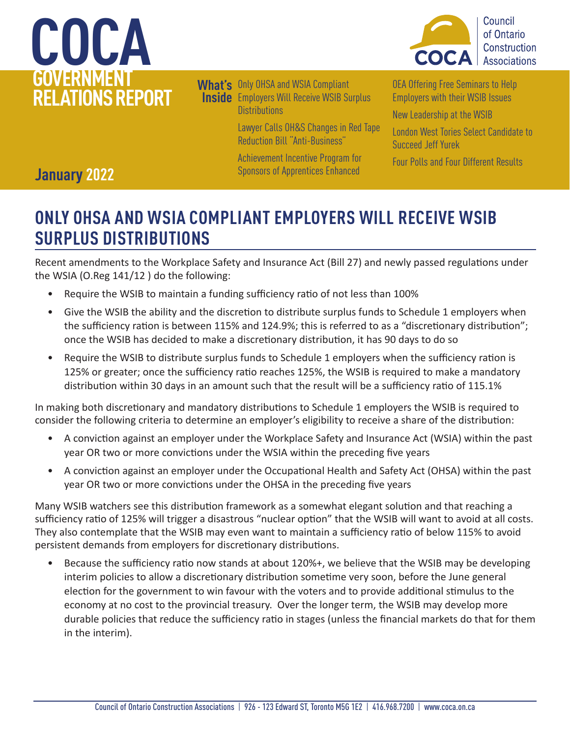



**What's**  Only OHSA and WSIA Compliant **Inside** Employers Will Receive WSIB Surplus **Distributions** 

> [Lawyer Calls OH&S Changes in Red Tape](#page-1-0)  [Reduction Bill "Anti-Business"](#page-1-0)

[Achievement Incentive Program for](#page-2-0)  [Sponsors of Apprentices Enhanced](#page-2-0) 

[OEA Offering Free Seminars to Help](#page-3-0)  [Employers with their WSIB Issues](#page-3-0) 

[New Leadership at the WSIB](#page-4-0) 

[London West Tories Select Candidate to](#page-5-0)  [Succeed Jeff Yurek](#page-5-0) 

[Four Polls and Four Different Results](#page-6-0) 

### **January 2022**

### **ONLY OHSA AND WSIA COMPLIANT EMPLOYERS WILL RECEIVE WSIB SURPLUS DISTRIBUTIONS**

Recent amendments to the Workplace Safety and Insurance Act (Bill 27) and newly passed regulations under the WSIA (O.Reg 141/12 ) do the following:

- Require the WSIB to maintain a funding sufficiency ratio of not less than 100%
- Give the WSIB the ability and the discretion to distribute surplus funds to Schedule 1 employers when the sufficiency ration is between 115% and 124.9%; this is referred to as a "discretionary distribution"; once the WSIB has decided to make a discretionary distribution, it has 90 days to do so
- Require the WSIB to distribute surplus funds to Schedule 1 employers when the sufficiency ration is 125% or greater; once the sufficiency ratio reaches 125%, the WSIB is required to make a mandatory distribution within 30 days in an amount such that the result will be a sufficiency ratio of 115.1%

In making both discretionary and mandatory distributions to Schedule 1 employers the WSIB is required to consider the following criteria to determine an employer's eligibility to receive a share of the distribution:

- A conviction against an employer under the Workplace Safety and Insurance Act (WSIA) within the past year OR two or more convictions under the WSIA within the preceding five years
- A conviction against an employer under the Occupational Health and Safety Act (OHSA) within the past year OR two or more convictions under the OHSA in the preceding five years

Many WSIB watchers see this distribution framework as a somewhat elegant solution and that reaching a sufficiency ratio of 125% will trigger a disastrous "nuclear option" that the WSIB will want to avoid at all costs. They also contemplate that the WSIB may even want to maintain a sufficiency ratio of below 115% to avoid persistent demands from employers for discretionary distributions.

• Because the sufficiency ratio now stands at about 120%+, we believe that the WSIB may be developing interim policies to allow a discretionary distribution sometime very soon, before the June general election for the government to win favour with the voters and to provide additional stimulus to the economy at no cost to the provincial treasury. Over the longer term, the WSIB may develop more durable policies that reduce the sufficiency ratio in stages (unless the financial markets do that for them in the interim).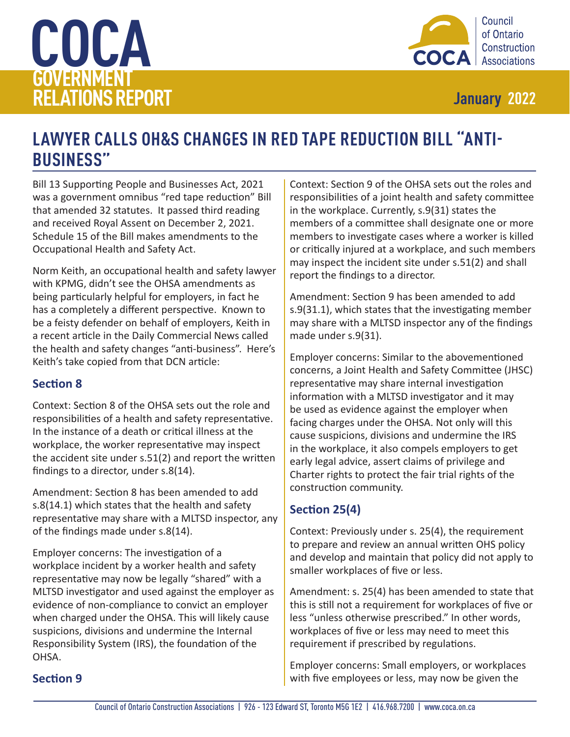<span id="page-1-0"></span>



### **LAWYER CALLS OH&S CHANGES IN RED TAPE REDUCTION BILL "ANTI-BUSINESS"**

Bill 13 Supporting People and Businesses Act, 2021 was a government omnibus "red tape reduction" Bill that amended 32 statutes. It passed third reading and received Royal Assent on December 2, 2021. Schedule 15 of the Bill makes amendments to the Occupational Health and Safety Act.

Norm Keith, an occupational health and safety lawyer with KPMG, didn't see the OHSA amendments as being particularly helpful for employers, in fact he has a completely a different perspective. Known to be a feisty defender on behalf of employers, Keith in a recent article in the Daily Commercial News called the health and safety changes "anti-business". Here's Keith's take copied from that DCN article:

#### **Section 8**

Context: Section 8 of the OHSA sets out the role and responsibilities of a health and safety representative. In the instance of a death or critical illness at the workplace, the worker representative may inspect the accident site under s.51(2) and report the written findings to a director, under s.8(14).

Amendment: Section 8 has been amended to add s.8(14.1) which states that the health and safety representative may share with a MLTSD inspector, any of the findings made under s.8(14).

Employer concerns: The investigation of a workplace incident by a worker health and safety representative may now be legally "shared" with a MLTSD investigator and used against the employer as evidence of non-compliance to convict an employer when charged under the OHSA. This will likely cause suspicions, divisions and undermine the Internal Responsibility System (IRS), the foundation of the OHSA.

Context: Section 9 of the OHSA sets out the roles and responsibilities of a joint health and safety committee in the workplace. Currently, s.9(31) states the members of a committee shall designate one or more members to investigate cases where a worker is killed or critically injured at a workplace, and such members may inspect the incident site under s.51(2) and shall report the findings to a director.

Amendment: Section 9 has been amended to add s.9(31.1), which states that the investigating member may share with a MLTSD inspector any of the findings made under s.9(31).

Employer concerns: Similar to the abovementioned concerns, a Joint Health and Safety Committee (JHSC) representative may share internal investigation information with a MLTSD investigator and it may be used as evidence against the employer when facing charges under the OHSA. Not only will this cause suspicions, divisions and undermine the IRS in the workplace, it also compels employers to get early legal advice, assert claims of privilege and Charter rights to protect the fair trial rights of the construction community.

#### **Section 25(4)**

Context: Previously under s. 25(4), the requirement to prepare and review an annual written OHS policy and develop and maintain that policy did not apply to smaller workplaces of five or less.

Amendment: s. 25(4) has been amended to state that this is still not a requirement for workplaces of five or less "unless otherwise prescribed." In other words, workplaces of five or less may need to meet this requirement if prescribed by regulations.

Employer concerns: Small employers, or workplaces with five employees or less, may now be given the

#### **Section 9**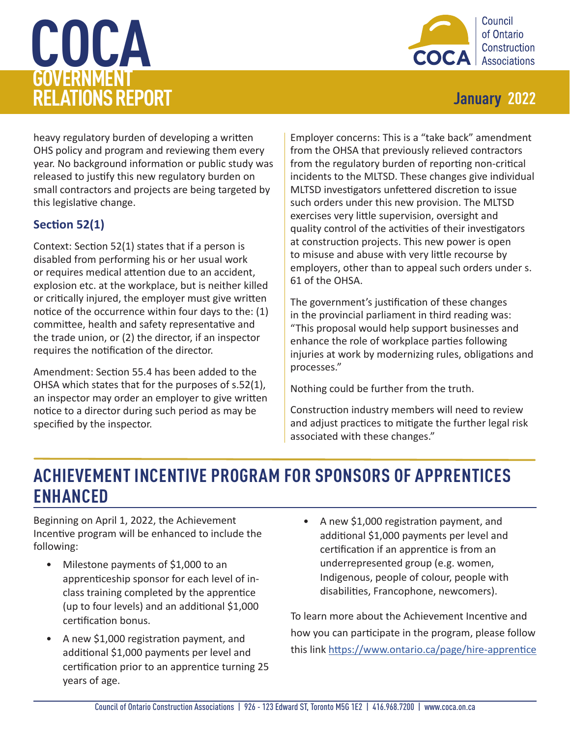# <span id="page-2-0"></span>**COCA GOVERNMENT RELATIONS REPORT January 2022**



heavy regulatory burden of developing a written OHS policy and program and reviewing them every year. No background information or public study was released to justify this new regulatory burden on small contractors and projects are being targeted by this legislative change.

#### **Section 52(1)**

Context: Section 52(1) states that if a person is disabled from performing his or her usual work or requires medical attention due to an accident, explosion etc. at the workplace, but is neither killed or critically injured, the employer must give written notice of the occurrence within four days to the: (1) committee, health and safety representative and the trade union, or (2) the director, if an inspector requires the notification of the director.

Amendment: Section 55.4 has been added to the OHSA which states that for the purposes of s.52(1), an inspector may order an employer to give written notice to a director during such period as may be specified by the inspector.

Employer concerns: This is a "take back" amendment from the OHSA that previously relieved contractors from the regulatory burden of reporting non-critical incidents to the MLTSD. These changes give individual MLTSD investigators unfettered discretion to issue such orders under this new provision. The MLTSD exercises very little supervision, oversight and quality control of the activities of their investigators at construction projects. This new power is open to misuse and abuse with very little recourse by employers, other than to appeal such orders under s. 61 of the OHSA.

The government's justification of these changes in the provincial parliament in third reading was: "This proposal would help support businesses and enhance the role of workplace parties following injuries at work by modernizing rules, obligations and processes."

Nothing could be further from the truth.

Construction industry members will need to review and adjust practices to mitigate the further legal risk associated with these changes."

### **ACHIEVEMENT INCENTIVE PROGRAM FOR SPONSORS OF APPRENTICES ENHANCED**

Beginning on April 1, 2022, the Achievement Incentive program will be enhanced to include the following:

- Milestone payments of \$1,000 to an apprenticeship sponsor for each level of inclass training completed by the apprentice (up to four levels) and an additional \$1,000 certification bonus.
- A new \$1,000 registration payment, and additional \$1,000 payments per level and certification prior to an apprentice turning 25 years of age.
- A new \$1,000 registration payment, and additional \$1,000 payments per level and certification if an apprentice is from an underrepresented group (e.g. women, Indigenous, people of colour, people with disabilities, Francophone, newcomers).

To learn more about the Achievement Incentive and how you can participate in the program, please follow this link <https://www.ontario.ca/page/hire-apprentice>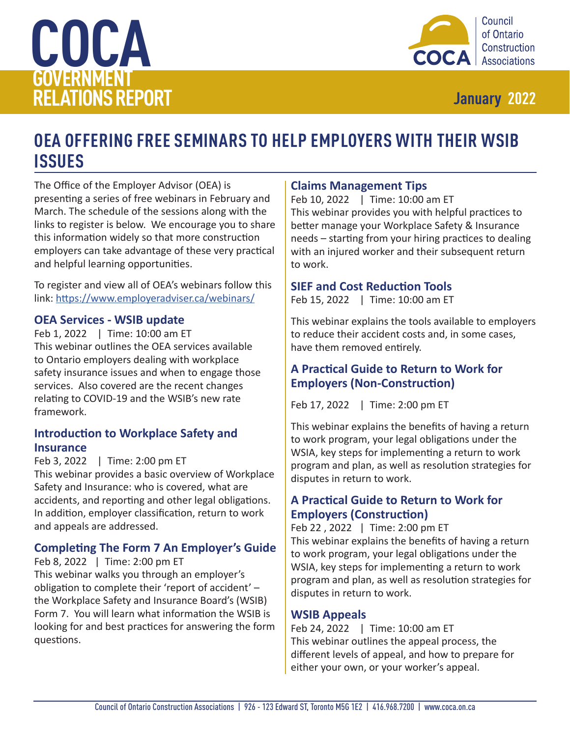<span id="page-3-0"></span>



### **OEA OFFERING FREE SEMINARS TO HELP EMPLOYERS WITH THEIR WSIB ISSUES**

The Office of the Employer Advisor (OEA) is presenting a series of free webinars in February and March. The schedule of the sessions along with the links to register is below. We encourage you to share this information widely so that more construction employers can take advantage of these very practical and helpful learning opportunities.

To register and view all of OEA's webinars follow this link: <https://www.employeradviser.ca/webinars/>

#### **OEA Services - WSIB update**

Feb 1, 2022 | Time: 10:00 am ET This webinar outlines the OEA services available to Ontario employers dealing with workplace safety insurance issues and when to engage those services. Also covered are the recent changes relating to COVID-19 and the WSIB's new rate framework.

#### **Introduction to Workplace Safety and Insurance**

Feb 3, 2022 | Time: 2:00 pm ET  

This webinar provides a basic overview of Workplace Safety and Insurance: who is covered, what are accidents, and reporting and other legal obligations. In addition, employer classification, return to work and appeals are addressed.

#### **Completing The Form 7 An Employer's Guide**

#### Feb 8, 2022 | Time: 2:00 pm ET

This webinar walks you through an employer's obligation to complete their 'report of accident' – the Workplace Safety and Insurance Board's (WSIB) Form 7. You will learn what information the WSIB is looking for and best practices for answering the form questions.

#### **Claims Management Tips**

Feb 10, 2022 | Time: 10:00 am ET   This webinar provides you with helpful practices to better manage your Workplace Safety & Insurance needs – starting from your hiring practices to dealing with an injured worker and their subsequent return to work.

#### **SIEF and Cost Reduction Tools**

Feb 15, 2022 | Time: 10:00 am ET  

This webinar explains the tools available to employers to reduce their accident costs and, in some cases, have them removed entirely.

#### **A Practical Guide to Return to Work for Employers (Non-Construction)**

Feb 17, 2022 | Time: 2:00 pm ET

This webinar explains the benefits of having a return to work program, your legal obligations under the WSIA, key steps for implementing a return to work program and plan, as well as resolution strategies for disputes in return to work.

#### **A Practical Guide to Return to Work for Employers (Construction)**

Feb 22 , 2022 | Time: 2:00 pm ET This webinar explains the benefits of having a return to work program, your legal obligations under the WSIA, key steps for implementing a return to work program and plan, as well as resolution strategies for disputes in return to work.

#### **WSIB Appeals**

Feb 24, 2022 | Time: 10:00 am ET This webinar outlines the appeal process, the different levels of appeal, and how to prepare for either your own, or your worker's appeal.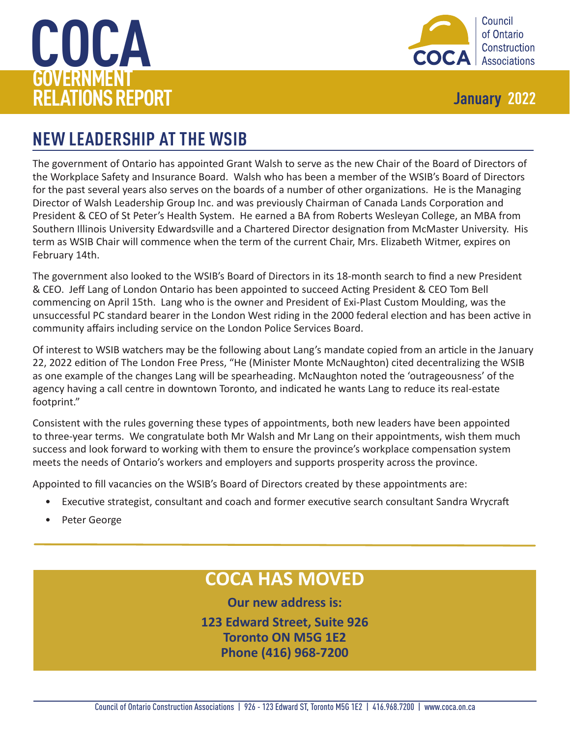<span id="page-4-0"></span>



### **NEW LEADERSHIP AT THE WSIB**

The government of Ontario has appointed Grant Walsh to serve as the new Chair of the Board of Directors of the Workplace Safety and Insurance Board. Walsh who has been a member of the WSIB's Board of Directors for the past several years also serves on the boards of a number of other organizations. He is the Managing Director of Walsh Leadership Group Inc. and was previously Chairman of Canada Lands Corporation and President & CEO of St Peter's Health System. He earned a BA from Roberts Wesleyan College, an MBA from Southern Illinois University Edwardsville and a Chartered Director designation from McMaster University. His term as WSIB Chair will commence when the term of the current Chair, Mrs. Elizabeth Witmer, expires on February 14th.

The government also looked to the WSIB's Board of Directors in its 18-month search to find a new President & CEO. Jeff Lang of London Ontario has been appointed to succeed Acting President & CEO Tom Bell commencing on April 15th. Lang who is the owner and President of Exi-Plast Custom Moulding, was the unsuccessful PC standard bearer in the London West riding in the 2000 federal election and has been active in community affairs including service on the London Police Services Board.

Of interest to WSIB watchers may be the following about Lang's mandate copied from an article in the January 22, 2022 edition of The London Free Press, "He (Minister Monte McNaughton) cited decentralizing the WSIB as one example of the changes Lang will be spearheading. McNaughton noted the 'outrageousness' of the agency having a call centre in downtown Toronto, and indicated he wants Lang to reduce its real-estate footprint."

Consistent with the rules governing these types of appointments, both new leaders have been appointed to three-year terms. We congratulate both Mr Walsh and Mr Lang on their appointments, wish them much success and look forward to working with them to ensure the province's workplace compensation system meets the needs of Ontario's workers and employers and supports prosperity across the province.

Appointed to fill vacancies on the WSIB's Board of Directors created by these appointments are:

- Executive strategist, consultant and coach and former executive search consultant Sandra Wrycraft
- Peter George

### **COCA HAS MOVED**

**Our new address is:**

**123 Edward Street, Suite 926 Toronto ON M5G 1E2 Phone (416) 968-7200**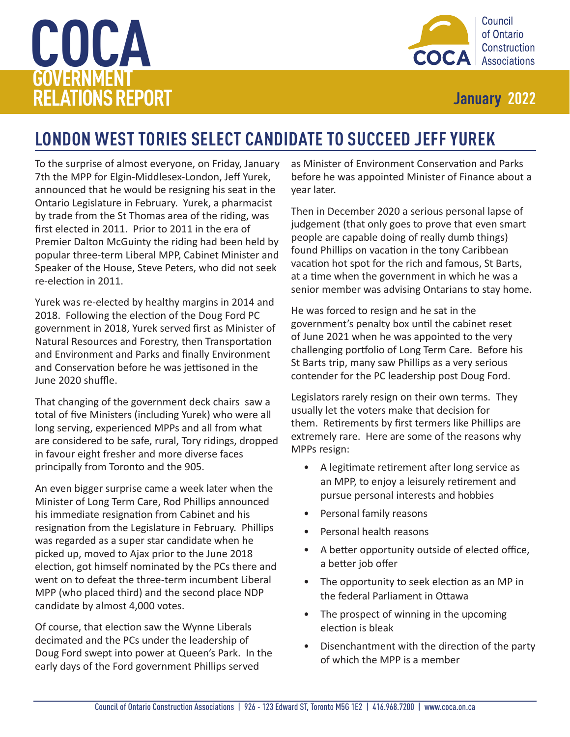# <span id="page-5-0"></span>**COCA GOVERNMENT RELATIONS REPORT January 2022**



## **LONDON WEST TORIES SELECT CANDIDATE TO SUCCEED JEFF YUREK**

To the surprise of almost everyone, on Friday, January 7th the MPP for Elgin-Middlesex-London, Jeff Yurek, announced that he would be resigning his seat in the Ontario Legislature in February. Yurek, a pharmacist by trade from the St Thomas area of the riding, was first elected in 2011. Prior to 2011 in the era of Premier Dalton McGuinty the riding had been held by popular three-term Liberal MPP, Cabinet Minister and Speaker of the House, Steve Peters, who did not seek re-election in 2011.

Yurek was re-elected by healthy margins in 2014 and 2018. Following the election of the Doug Ford PC government in 2018, Yurek served first as Minister of Natural Resources and Forestry, then Transportation and Environment and Parks and finally Environment and Conservation before he was jettisoned in the June 2020 shuffle.

That changing of the government deck chairs saw a total of five Ministers (including Yurek) who were all long serving, experienced MPPs and all from what are considered to be safe, rural, Tory ridings, dropped in favour eight fresher and more diverse faces principally from Toronto and the 905.

An even bigger surprise came a week later when the Minister of Long Term Care, Rod Phillips announced his immediate resignation from Cabinet and his resignation from the Legislature in February. Phillips was regarded as a super star candidate when he picked up, moved to Ajax prior to the June 2018 election, got himself nominated by the PCs there and went on to defeat the three-term incumbent Liberal MPP (who placed third) and the second place NDP candidate by almost 4,000 votes.

Of course, that election saw the Wynne Liberals decimated and the PCs under the leadership of Doug Ford swept into power at Queen's Park. In the early days of the Ford government Phillips served

as Minister of Environment Conservation and Parks before he was appointed Minister of Finance about a year later.

Then in December 2020 a serious personal lapse of judgement (that only goes to prove that even smart people are capable doing of really dumb things) found Phillips on vacation in the tony Caribbean vacation hot spot for the rich and famous, St Barts, at a time when the government in which he was a senior member was advising Ontarians to stay home.

He was forced to resign and he sat in the government's penalty box until the cabinet reset of June 2021 when he was appointed to the very challenging portfolio of Long Term Care. Before his St Barts trip, many saw Phillips as a very serious contender for the PC leadership post Doug Ford.

Legislators rarely resign on their own terms. They usually let the voters make that decision for them. Retirements by first termers like Phillips are extremely rare. Here are some of the reasons why MPPs resign:

- A legitimate retirement after long service as an MPP, to enjoy a leisurely retirement and pursue personal interests and hobbies
- Personal family reasons
- Personal health reasons
- A better opportunity outside of elected office, a better job offer
- The opportunity to seek election as an MP in the federal Parliament in Ottawa
- The prospect of winning in the upcoming election is bleak
- Disenchantment with the direction of the party of which the MPP is a member